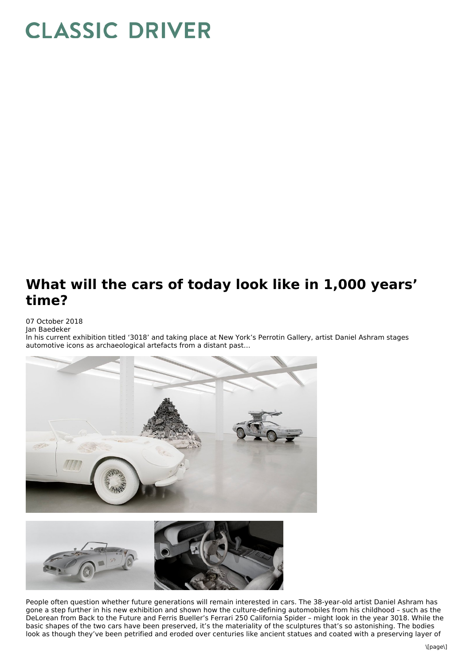## **CLASSIC DRIVER**

## **What will the cars of today look like in 1,000 years' time?**

## 07 October 2018

Jan Baedeker

In his current exhibition titled '3018' and taking place at New York's Perrotin Gallery, artist Daniel Ashram stages automotive icons as archaeological artefacts from a distant past…





People often question whether future generations will remain interested in cars. The 38-year-old artist Daniel Ashram has gone a step further in his new exhibition and shown how the culture-defining automobiles from his childhood – such as the DeLorean from Back to the Future and Ferris Bueller's Ferrari 250 California Spider – might look in the year 3018. While the basic shapes of the two cars have been preserved, it's the materiality of the sculptures that's so astonishing. The bodies look as though they've been petrified and eroded over centuries like ancient statues and coated with a preserving layer of